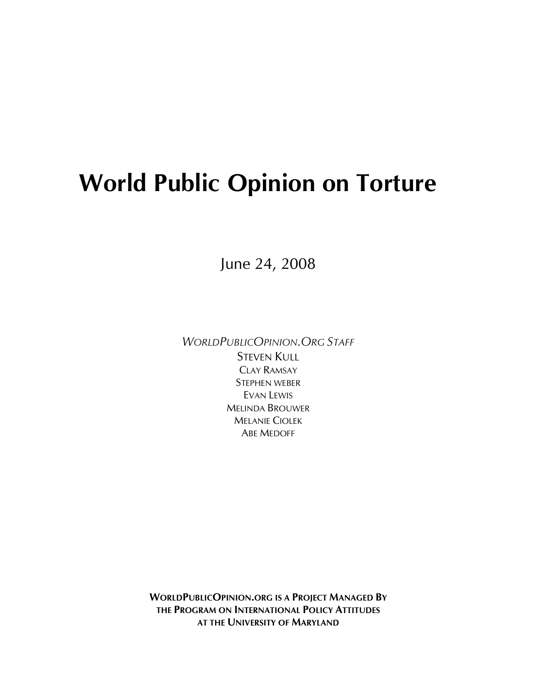# **World Public Opinion on Torture**

June 24, 2008

*WORLDPUBLICOPINION.ORG STAFF* STEVEN KULL CLAY RAMSAY STEPHEN WEBER EVAN LEWIS MELINDA BROUWER MELANIE CIOLEK ABE MEDOFF

**WORLDPUBLICOPINION.ORG IS A PROJECT MANAGED BY THE PROGRAM ON INTERNATIONAL POLICY ATTITUDES AT THE UNIVERSITY OF MARYLAND**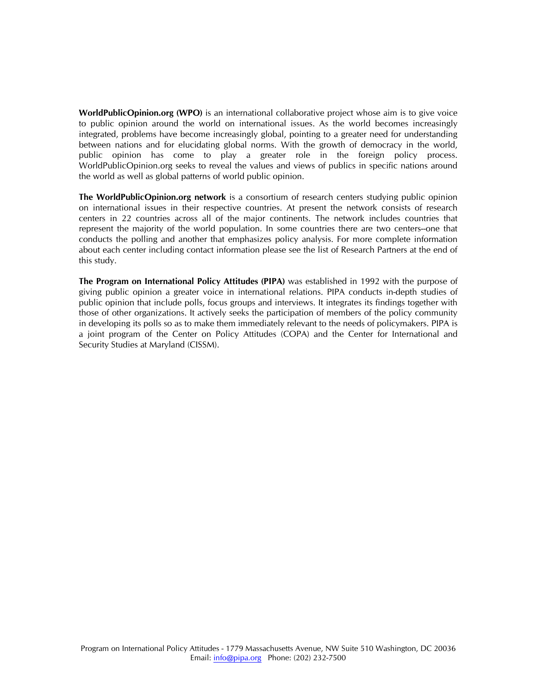**WorldPublicOpinion.org (WPO)** is an international collaborative project whose aim is to give voice to public opinion around the world on international issues. As the world becomes increasingly integrated, problems have become increasingly global, pointing to a greater need for understanding between nations and for elucidating global norms. With the growth of democracy in the world, public opinion has come to play a greater role in the foreign policy process. WorldPublicOpinion.org seeks to reveal the values and views of publics in specific nations around the world as well as global patterns of world public opinion.

**The WorldPublicOpinion.org network** is a consortium of research centers studying public opinion on international issues in their respective countries. At present the network consists of research centers in 22 countries across all of the major continents. The network includes countries that represent the majority of the world population. In some countries there are two centers--one that conducts the polling and another that emphasizes policy analysis. For more complete information about each center including contact information please see the list of Research Partners at the end of this study.

**The Program on International Policy Attitudes (PIPA)** was established in 1992 with the purpose of giving public opinion a greater voice in international relations. PIPA conducts in-depth studies of public opinion that include polls, focus groups and interviews. It integrates its findings together with those of other organizations. It actively seeks the participation of members of the policy community in developing its polls so as to make them immediately relevant to the needs of policymakers. PIPA is a joint program of the Center on Policy Attitudes (COPA) and the Center for International and Security Studies at Maryland (CISSM).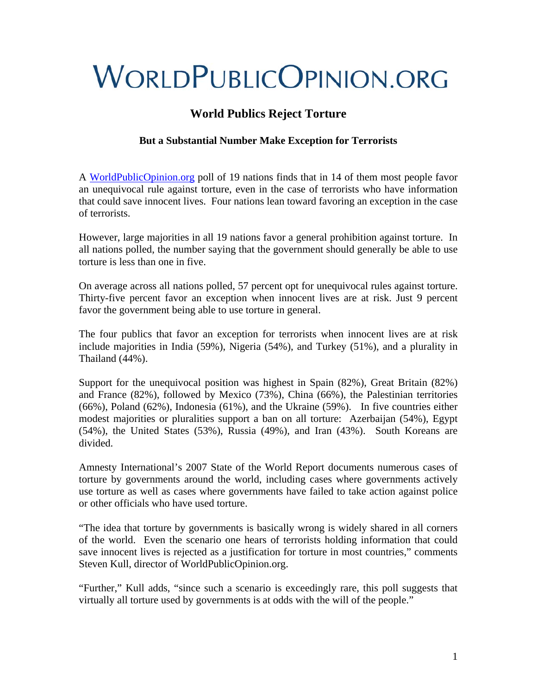# **WORLDPUBLICOPINION.ORG**

# **World Publics Reject Torture**

# **But a Substantial Number Make Exception for Terrorists**

A [WorldPublicOpinion.org](http://www.worldpublicopinion.org/) poll of 19 nations finds that in 14 of them most people favor an unequivocal rule against torture, even in the case of terrorists who have information that could save innocent lives. Four nations lean toward favoring an exception in the case of terrorists.

However, large majorities in all 19 nations favor a general prohibition against torture. In all nations polled, the number saying that the government should generally be able to use torture is less than one in five.

On average across all nations polled, 57 percent opt for unequivocal rules against torture. Thirty-five percent favor an exception when innocent lives are at risk. Just 9 percent favor the government being able to use torture in general.

The four publics that favor an exception for terrorists when innocent lives are at risk include majorities in India (59%), Nigeria (54%), and Turkey (51%), and a plurality in Thailand (44%).

Support for the unequivocal position was highest in Spain (82%), Great Britain (82%) and France (82%), followed by Mexico (73%), China (66%), the Palestinian territories (66%), Poland (62%), Indonesia (61%), and the Ukraine (59%). In five countries either modest majorities or pluralities support a ban on all torture: Azerbaijan (54%), Egypt (54%), the United States (53%), Russia (49%), and Iran (43%). South Koreans are divided.

Amnesty International's 2007 State of the World Report documents numerous cases of torture by governments around the world, including cases where governments actively use torture as well as cases where governments have failed to take action against police or other officials who have used torture.

"The idea that torture by governments is basically wrong is widely shared in all corners of the world. Even the scenario one hears of terrorists holding information that could save innocent lives is rejected as a justification for torture in most countries," comments Steven Kull, director of WorldPublicOpinion.org.

"Further," Kull adds, "since such a scenario is exceedingly rare, this poll suggests that virtually all torture used by governments is at odds with the will of the people."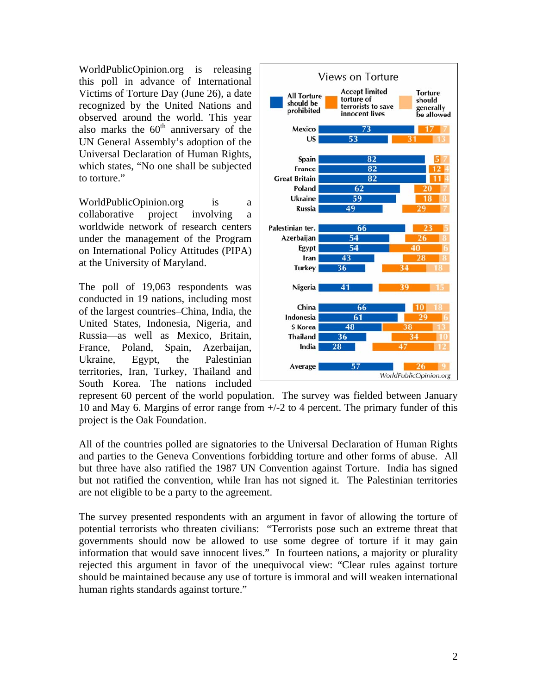WorldPublicOpinion.org is releasing this poll in advance of International Victims of Torture Day (June 26), a date recognized by the United Nations and observed around the world. This year also marks the  $60<sup>th</sup>$  anniversary of the UN General Assembly's adoption of the Universal Declaration of Human Rights, which states, "No one shall be subjected to torture."

WorldPublicOpinion.org is a collaborative project involving a worldwide network of research centers under the management of the Program on International Policy Attitudes (PIPA) at the University of Maryland.

The poll of 19,063 respondents was conducted in 19 nations, including most of the largest countries–China, India, the United States, Indonesia, Nigeria, and Russia—as well as Mexico, Britain, France, Poland, Spain, Azerbaijan, Ukraine, Egypt, the Palestinian territories, Iran, Turkey, Thailand and South Korea. The nations included



represent 60 percent of the world population. The survey was fielded between January 10 and May 6. Margins of error range from +/-2 to 4 percent. The primary funder of this project is the Oak Foundation.

All of the countries polled are signatories to the Universal Declaration of Human Rights and parties to the Geneva Conventions forbidding torture and other forms of abuse. All but three have also ratified the 1987 UN Convention against Torture. India has signed but not ratified the convention, while Iran has not signed it. The Palestinian territories are not eligible to be a party to the agreement.

The survey presented respondents with an argument in favor of allowing the torture of potential terrorists who threaten civilians: "Terrorists pose such an extreme threat that governments should now be allowed to use some degree of torture if it may gain information that would save innocent lives." In fourteen nations, a majority or plurality rejected this argument in favor of the unequivocal view: "Clear rules against torture should be maintained because any use of torture is immoral and will weaken international human rights standards against torture."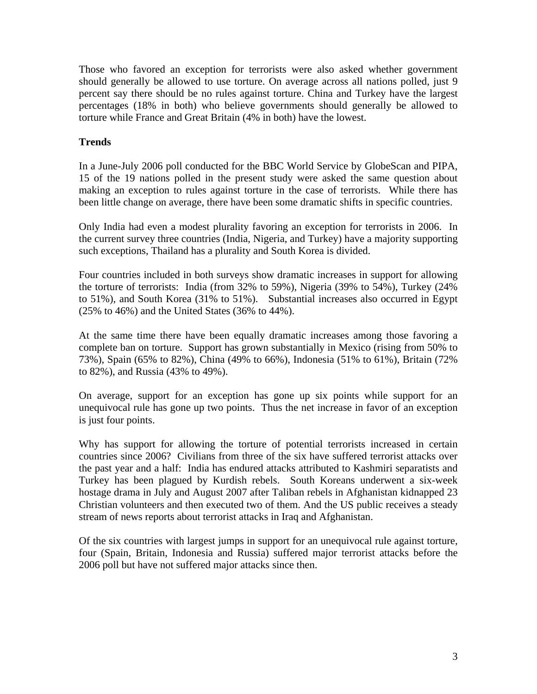Those who favored an exception for terrorists were also asked whether government should generally be allowed to use torture. On average across all nations polled, just 9 percent say there should be no rules against torture. China and Turkey have the largest percentages (18% in both) who believe governments should generally be allowed to torture while France and Great Britain (4% in both) have the lowest.

#### **Trends**

In a June-July 2006 poll conducted for the BBC World Service by GlobeScan and PIPA, 15 of the 19 nations polled in the present study were asked the same question about making an exception to rules against torture in the case of terrorists. While there has been little change on average, there have been some dramatic shifts in specific countries.

Only India had even a modest plurality favoring an exception for terrorists in 2006. In the current survey three countries (India, Nigeria, and Turkey) have a majority supporting such exceptions, Thailand has a plurality and South Korea is divided.

Four countries included in both surveys show dramatic increases in support for allowing the torture of terrorists: India (from 32% to 59%), Nigeria (39% to 54%), Turkey (24% to 51%), and South Korea (31% to 51%). Substantial increases also occurred in Egypt (25% to 46%) and the United States (36% to 44%).

At the same time there have been equally dramatic increases among those favoring a complete ban on torture. Support has grown substantially in Mexico (rising from 50% to 73%), Spain (65% to 82%), China (49% to 66%), Indonesia (51% to 61%), Britain (72% to 82%), and Russia (43% to 49%).

On average, support for an exception has gone up six points while support for an unequivocal rule has gone up two points. Thus the net increase in favor of an exception is just four points.

Why has support for allowing the torture of potential terrorists increased in certain countries since 2006? Civilians from three of the six have suffered terrorist attacks over the past year and a half: India has endured attacks attributed to Kashmiri separatists and Turkey has been plagued by Kurdish rebels. South Koreans underwent a six-week hostage drama in July and August 2007 after Taliban rebels in Afghanistan kidnapped 23 Christian volunteers and then executed two of them. And the US public receives a steady stream of news reports about terrorist attacks in Iraq and Afghanistan.

Of the six countries with largest jumps in support for an unequivocal rule against torture, four (Spain, Britain, Indonesia and Russia) suffered major terrorist attacks before the 2006 poll but have not suffered major attacks since then.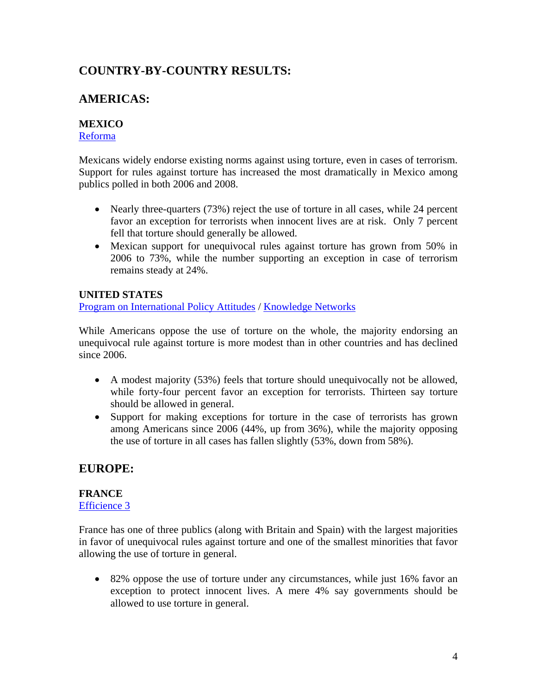# **COUNTRY-BY-COUNTRY RESULTS:**

# **AMERICAS:**

# **MEXICO**

[Reforma](http://www.reforma.com/)

Mexicans widely endorse existing norms against using torture, even in cases of terrorism. Support for rules against torture has increased the most dramatically in Mexico among publics polled in both 2006 and 2008.

- Nearly three-quarters (73%) reject the use of torture in all cases, while 24 percent favor an exception for terrorists when innocent lives are at risk. Only 7 percent fell that torture should generally be allowed.
- Mexican support for unequivocal rules against torture has grown from 50% in 2006 to 73%, while the number supporting an exception in case of terrorism remains steady at 24%.

# **UNITED STATES**

[Program on International Policy Attitudes](http://www.worldpublicopinion.org/) / [Knowledge Networks](http://www.knowledgenetworks.com/index3.html)

While Americans oppose the use of torture on the whole, the majority endorsing an unequivocal rule against torture is more modest than in other countries and has declined since 2006.

- A modest majority (53%) feels that torture should unequivocally not be allowed, while forty-four percent favor an exception for terrorists. Thirteen say torture should be allowed in general.
- Support for making exceptions for torture in the case of terrorists has grown among Americans since 2006 (44%, up from 36%), while the majority opposing the use of torture in all cases has fallen slightly (53%, down from 58%).

# **EUROPE:**

# **FRANCE**

# [Efficience 3](http://www.efficience3.com/en/accueil/index.html)

France has one of three publics (along with Britain and Spain) with the largest majorities in favor of unequivocal rules against torture and one of the smallest minorities that favor allowing the use of torture in general.

• 82% oppose the use of torture under any circumstances, while just 16% favor an exception to protect innocent lives. A mere 4% say governments should be allowed to use torture in general.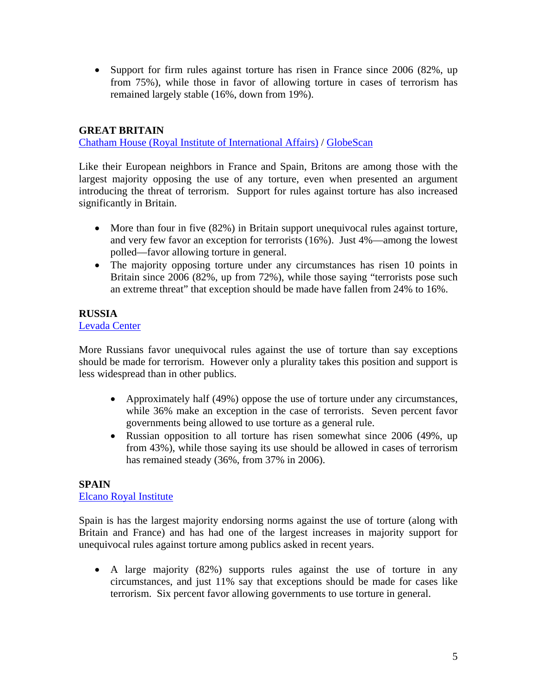• Support for firm rules against torture has risen in France since 2006 (82%, up from 75%), while those in favor of allowing torture in cases of terrorism has remained largely stable (16%, down from 19%).

### **GREAT BRITAIN**

[Chatham House \(Royal Institute of International Affairs\)](http://www.chathamhouse.org.uk/research/) / [GlobeScan](http://www.globescan.com/)

Like their European neighbors in France and Spain, Britons are among those with the largest majority opposing the use of any torture, even when presented an argument introducing the threat of terrorism. Support for rules against torture has also increased significantly in Britain.

- More than four in five (82%) in Britain support unequivocal rules against torture, and very few favor an exception for terrorists (16%). Just 4%—among the lowest polled—favor allowing torture in general.
- The majority opposing torture under any circumstances has risen 10 points in Britain since 2006 (82%, up from 72%), while those saying "terrorists pose such an extreme threat" that exception should be made have fallen from 24% to 16%.

### **RUSSIA**

#### [Levada Center](http://www.levada.ru/eng/)

More Russians favor unequivocal rules against the use of torture than say exceptions should be made for terrorism. However only a plurality takes this position and support is less widespread than in other publics.

- Approximately half (49%) oppose the use of torture under any circumstances, while 36% make an exception in the case of terrorists. Seven percent favor governments being allowed to use torture as a general rule.
- Russian opposition to all torture has risen somewhat since 2006 (49%, up from 43%), while those saying its use should be allowed in cases of terrorism has remained steady (36%, from 37% in 2006).

#### **SPAIN**  [Elcano Royal Institute](http://www.realinstitutoelcano.org/wps/portal/!ut/p/kcxml/04_Sj9SPykssy0xPLMnMz0vM0Y_QjzKLN4k3DPUESUGYHvqRKGIG8Y4IEW99X4_83FT9AP2C3NCIckdFRQBQ7RPO/delta/base64xml/L3dJdyEvUUd3QndNQSEvNElVRS82XzRfMVVW)

Spain is has the largest majority endorsing norms against the use of torture (along with Britain and France) and has had one of the largest increases in majority support for unequivocal rules against torture among publics asked in recent years.

• A large majority (82%) supports rules against the use of torture in any circumstances, and just 11% say that exceptions should be made for cases like terrorism. Six percent favor allowing governments to use torture in general.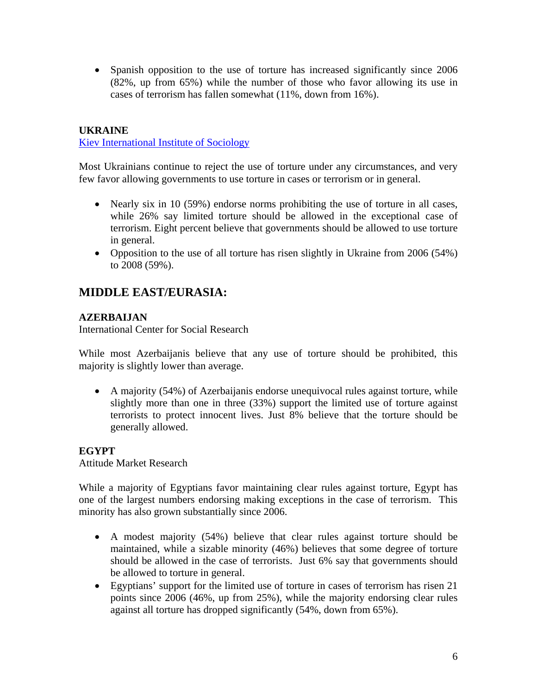• Spanish opposition to the use of torture has increased significantly since 2006 (82%, up from 65%) while the number of those who favor allowing its use in cases of terrorism has fallen somewhat (11%, down from 16%).

# **UKRAINE**

[Kiev International Institute of Sociology](http://www.kiis.com.ua/index.php?id=1&sp=1&lng=eng)

Most Ukrainians continue to reject the use of torture under any circumstances, and very few favor allowing governments to use torture in cases or terrorism or in general.

- Nearly six in 10 (59%) endorse norms prohibiting the use of torture in all cases, while 26% say limited torture should be allowed in the exceptional case of terrorism. Eight percent believe that governments should be allowed to use torture in general.
- Opposition to the use of all torture has risen slightly in Ukraine from 2006 (54%) to 2008 (59%).

# **MIDDLE EAST/EURASIA:**

# **AZERBAIJAN**

International Center for Social Research

While most Azerbaijanis believe that any use of torture should be prohibited, this majority is slightly lower than average.

• A majority (54%) of Azerbaijanis endorse unequivocal rules against torture, while slightly more than one in three (33%) support the limited use of torture against terrorists to protect innocent lives. Just 8% believe that the torture should be generally allowed.

# **EGYPT**

Attitude Market Research

While a majority of Egyptians favor maintaining clear rules against torture, Egypt has one of the largest numbers endorsing making exceptions in the case of terrorism. This minority has also grown substantially since 2006.

- A modest majority (54%) believe that clear rules against torture should be maintained, while a sizable minority (46%) believes that some degree of torture should be allowed in the case of terrorists. Just 6% say that governments should be allowed to torture in general.
- Egyptians' support for the limited use of torture in cases of terrorism has risen 21 points since 2006 (46%, up from 25%), while the majority endorsing clear rules against all torture has dropped significantly (54%, down from 65%).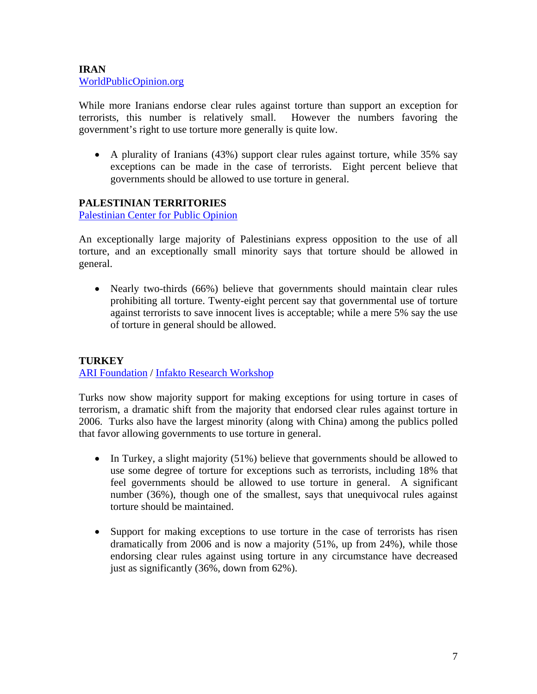### **IRAN** [WorldPublicOpinion.org](http://www.worldpublicopinion.org/)

While more Iranians endorse clear rules against torture than support an exception for terrorists, this number is relatively small. However the numbers favoring the government's right to use torture more generally is quite low.

• A plurality of Iranians (43%) support clear rules against torture, while 35% say exceptions can be made in the case of terrorists. Eight percent believe that governments should be allowed to use torture in general.

# **PALESTINIAN TERRITORIES**

[Palestinian Center for Public Opinion](http://www.pcpo.ps/)

An exceptionally large majority of Palestinians express opposition to the use of all torture, and an exceptionally small minority says that torture should be allowed in general.

• Nearly two-thirds (66%) believe that governments should maintain clear rules prohibiting all torture. Twenty-eight percent say that governmental use of torture against terrorists to save innocent lives is acceptable; while a mere 5% say the use of torture in general should be allowed.

# **TURKEY**  [ARI Foundation](http://www.arifoundation.org/) / [Infakto Research Workshop](http://www.infakto.com.tr/)

Turks now show majority support for making exceptions for using torture in cases of terrorism, a dramatic shift from the majority that endorsed clear rules against torture in 2006. Turks also have the largest minority (along with China) among the publics polled that favor allowing governments to use torture in general.

- In Turkey, a slight majority (51%) believe that governments should be allowed to use some degree of torture for exceptions such as terrorists, including 18% that feel governments should be allowed to use torture in general. A significant number (36%), though one of the smallest, says that unequivocal rules against torture should be maintained.
- Support for making exceptions to use torture in the case of terrorists has risen dramatically from 2006 and is now a majority (51%, up from 24%), while those endorsing clear rules against using torture in any circumstance have decreased just as significantly (36%, down from 62%).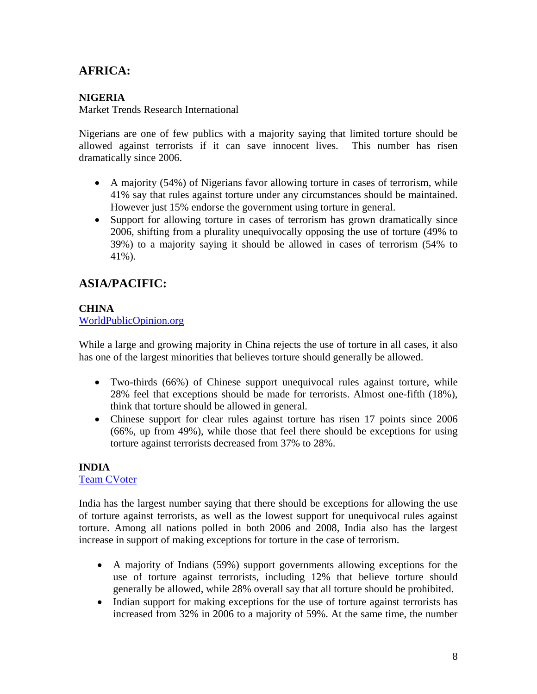# **AFRICA:**

# **NIGERIA**

Market Trends Research International

Nigerians are one of few publics with a majority saying that limited torture should be allowed against terrorists if it can save innocent lives. This number has risen dramatically since 2006.

- A majority (54%) of Nigerians favor allowing torture in cases of terrorism, while 41% say that rules against torture under any circumstances should be maintained. However just 15% endorse the government using torture in general.
- Support for allowing torture in cases of terrorism has grown dramatically since 2006, shifting from a plurality unequivocally opposing the use of torture (49% to 39%) to a majority saying it should be allowed in cases of terrorism (54% to 41%).

# **ASIA/PACIFIC:**

#### **CHINA** [WorldPublicOpinion.org](http://www.worldpublicopinion.org/)

While a large and growing majority in China rejects the use of torture in all cases, it also has one of the largest minorities that believes torture should generally be allowed.

- Two-thirds (66%) of Chinese support unequivocal rules against torture, while 28% feel that exceptions should be made for terrorists. Almost one-fifth (18%), think that torture should be allowed in general.
- Chinese support for clear rules against torture has risen 17 points since 2006 (66%, up from 49%), while those that feel there should be exceptions for using torture against terrorists decreased from 37% to 28%.

# **INDIA**

#### [Team CVoter](http://www.teamcvoter.com/)

India has the largest number saying that there should be exceptions for allowing the use of torture against terrorists, as well as the lowest support for unequivocal rules against torture. Among all nations polled in both 2006 and 2008, India also has the largest increase in support of making exceptions for torture in the case of terrorism.

- A majority of Indians (59%) support governments allowing exceptions for the use of torture against terrorists, including 12% that believe torture should generally be allowed, while 28% overall say that all torture should be prohibited.
- Indian support for making exceptions for the use of torture against terrorists has increased from 32% in 2006 to a majority of 59%. At the same time, the number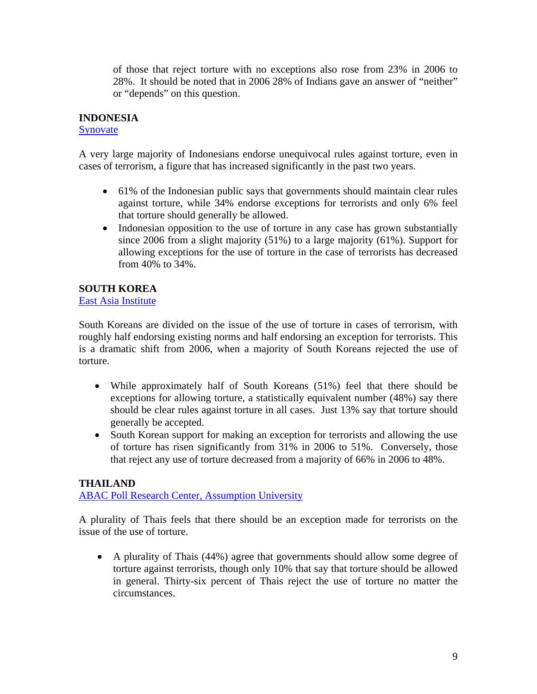of those that reject torture with no exceptions also rose from 23% in 2006 to 28%. It should be noted that in 2006 28% of Indians gave an answer of "neither" or "depends" on this question.

### **INDONESIA**

#### **[Synovate](http://www.synovate.com/)**

A very large majority of Indonesians endorse unequivocal rules against torture, even in cases of terrorism, a figure that has increased significantly in the past two years.

- 61% of the Indonesian public says that governments should maintain clear rules against torture, while 34% endorse exceptions for terrorists and only 6% feel that torture should generally be allowed.
- Indonesian opposition to the use of torture in any case has grown substantially since 2006 from a slight majority (51%) to a large majority (61%). Support for allowing exceptions for the use of torture in the case of terrorists has decreased from 40% to 34%.

### **SOUTH KOREA**

[East Asia Institute](http://www.eai.or.kr/)

South Koreans are divided on the issue of the use of torture in cases of terrorism, with roughly half endorsing existing norms and half endorsing an exception for terrorists. This is a dramatic shift from 2006, when a majority of South Koreans rejected the use of torture.

- While approximately half of South Koreans (51%) feel that there should be exceptions for allowing torture, a statistically equivalent number (48%) say there should be clear rules against torture in all cases. Just 13% say that torture should generally be accepted.
- South Korean support for making an exception for terrorists and allowing the use of torture has risen significantly from 31% in 2006 to 51%. Conversely, those that reject any use of torture decreased from a majority of 66% in 2006 to 48%.

#### **THAILAND**

[ABAC Poll Research Center, Assumption University](http://www.abacpoll.com/)

A plurality of Thais feels that there should be an exception made for terrorists on the issue of the use of torture.

• A plurality of Thais (44%) agree that governments should allow some degree of torture against terrorists, though only 10% that say that torture should be allowed in general. Thirty-six percent of Thais reject the use of torture no matter the circumstances.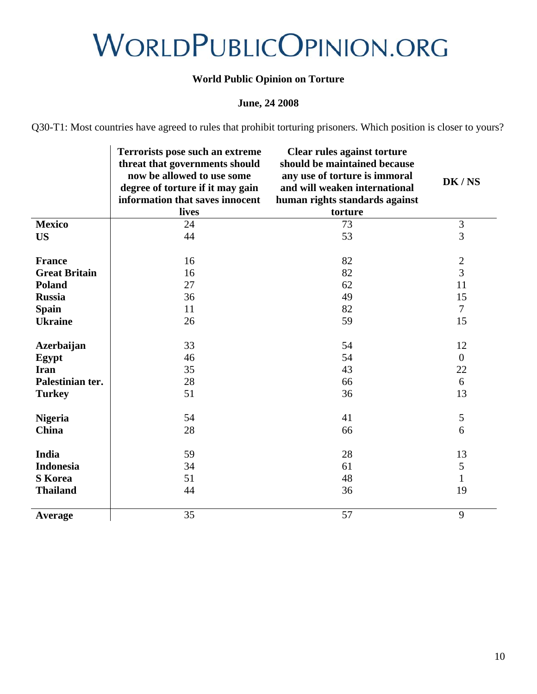# WORLDPUBLICOPINION.ORG

# **World Public Opinion on Torture**

# **June, 24 2008**

Q30-T1: Most countries have agreed to rules that prohibit torturing prisoners. Which position is closer to yours?

|                      | <b>Terrorists pose such an extreme</b><br>threat that governments should<br>now be allowed to use some<br>degree of torture if it may gain<br>information that saves innocent | <b>Clear rules against torture</b><br>should be maintained because<br>any use of torture is immoral<br>and will weaken international<br>human rights standards against | DK/NS          |
|----------------------|-------------------------------------------------------------------------------------------------------------------------------------------------------------------------------|------------------------------------------------------------------------------------------------------------------------------------------------------------------------|----------------|
|                      | lives                                                                                                                                                                         | torture                                                                                                                                                                |                |
| <b>Mexico</b>        | 24                                                                                                                                                                            | 73                                                                                                                                                                     | $\mathfrak{Z}$ |
| <b>US</b>            | 44                                                                                                                                                                            | 53                                                                                                                                                                     | $\overline{3}$ |
|                      |                                                                                                                                                                               |                                                                                                                                                                        |                |
| <b>France</b>        | 16                                                                                                                                                                            | 82                                                                                                                                                                     |                |
| <b>Great Britain</b> | 16                                                                                                                                                                            | 82                                                                                                                                                                     | $\frac{2}{3}$  |
| Poland               | 27                                                                                                                                                                            | 62                                                                                                                                                                     | 11             |
| <b>Russia</b>        | 36                                                                                                                                                                            | 49                                                                                                                                                                     | 15             |
| <b>Spain</b>         | 11                                                                                                                                                                            | 82                                                                                                                                                                     | $\overline{7}$ |
| <b>Ukraine</b>       | 26                                                                                                                                                                            | 59                                                                                                                                                                     | 15             |
|                      |                                                                                                                                                                               |                                                                                                                                                                        |                |
| Azerbaijan           | 33                                                                                                                                                                            | 54                                                                                                                                                                     | 12             |
| Egypt                | 46                                                                                                                                                                            | 54                                                                                                                                                                     | $\overline{0}$ |
| <b>Iran</b>          | 35                                                                                                                                                                            | 43                                                                                                                                                                     | 22             |
| Palestinian ter.     | 28                                                                                                                                                                            | 66                                                                                                                                                                     | 6              |
| <b>Turkey</b>        | 51                                                                                                                                                                            | 36                                                                                                                                                                     | 13             |
|                      |                                                                                                                                                                               |                                                                                                                                                                        |                |
| <b>Nigeria</b>       | 54                                                                                                                                                                            | 41                                                                                                                                                                     | $\sqrt{5}$     |
| China                | 28                                                                                                                                                                            | 66                                                                                                                                                                     | 6              |
|                      |                                                                                                                                                                               |                                                                                                                                                                        |                |
| India                | 59                                                                                                                                                                            | 28                                                                                                                                                                     | 13             |
| <b>Indonesia</b>     | 34                                                                                                                                                                            | 61                                                                                                                                                                     | $\sqrt{5}$     |
| <b>S</b> Korea       | 51                                                                                                                                                                            | 48                                                                                                                                                                     | $\mathbf{1}$   |
| <b>Thailand</b>      | 44                                                                                                                                                                            | 36                                                                                                                                                                     | 19             |
|                      |                                                                                                                                                                               |                                                                                                                                                                        |                |
| Average              | 35                                                                                                                                                                            | 57                                                                                                                                                                     | 9              |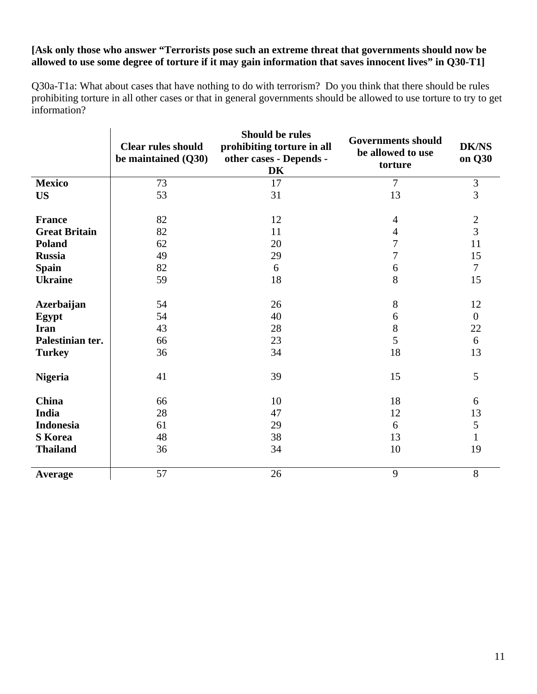# **[Ask only those who answer "Terrorists pose such an extreme threat that governments should now be allowed to use some degree of torture if it may gain information that saves innocent lives" in Q30-T1]**

Q30a-T1a: What about cases that have nothing to do with terrorism? Do you think that there should be rules prohibiting torture in all other cases or that in general governments should be allowed to use torture to try to get information?

|                      | <b>Clear rules should</b><br>be maintained (Q30) | <b>Should be rules</b><br>prohibiting torture in all<br>other cases - Depends -<br>DK | <b>Governments should</b><br>be allowed to use<br>torture | <b>DK/NS</b><br>on Q30 |
|----------------------|--------------------------------------------------|---------------------------------------------------------------------------------------|-----------------------------------------------------------|------------------------|
| <b>Mexico</b>        | 73                                               | 17                                                                                    | $\overline{7}$                                            | 3                      |
| <b>US</b>            | 53                                               | 31                                                                                    | 13                                                        | 3                      |
| <b>France</b>        | 82                                               | 12                                                                                    | $\overline{4}$                                            | $\sqrt{2}$             |
| <b>Great Britain</b> | 82                                               | 11                                                                                    | 4                                                         | $\overline{3}$         |
| Poland               | 62                                               | 20                                                                                    | $\overline{7}$                                            | 11                     |
| <b>Russia</b>        | 49                                               | 29                                                                                    | 7                                                         | 15                     |
| <b>Spain</b>         | 82                                               | 6                                                                                     | 6                                                         | $\overline{7}$         |
| <b>Ukraine</b>       | 59                                               | 18                                                                                    | 8                                                         | 15                     |
| <b>Azerbaijan</b>    | 54                                               | 26                                                                                    | $8\,$                                                     | 12                     |
| Egypt                | 54                                               | 40                                                                                    | 6                                                         | $\overline{0}$         |
| <b>Iran</b>          | 43                                               | 28                                                                                    | 8                                                         | 22                     |
| Palestinian ter.     | 66                                               | 23                                                                                    | 5                                                         | 6                      |
| <b>Turkey</b>        | 36                                               | 34                                                                                    | 18                                                        | 13                     |
| <b>Nigeria</b>       | 41                                               | 39                                                                                    | 15                                                        | 5                      |
| <b>China</b>         | 66                                               | 10                                                                                    | 18                                                        | 6                      |
| India                | 28                                               | 47                                                                                    | 12                                                        | 13                     |
| <b>Indonesia</b>     | 61                                               | 29                                                                                    | 6                                                         | 5                      |
| <b>S</b> Korea       | 48                                               | 38                                                                                    | 13                                                        | $\mathbf{1}$           |
| <b>Thailand</b>      | 36                                               | 34                                                                                    | 10                                                        | 19                     |
| Average              | 57                                               | 26                                                                                    | 9                                                         | $8\,$                  |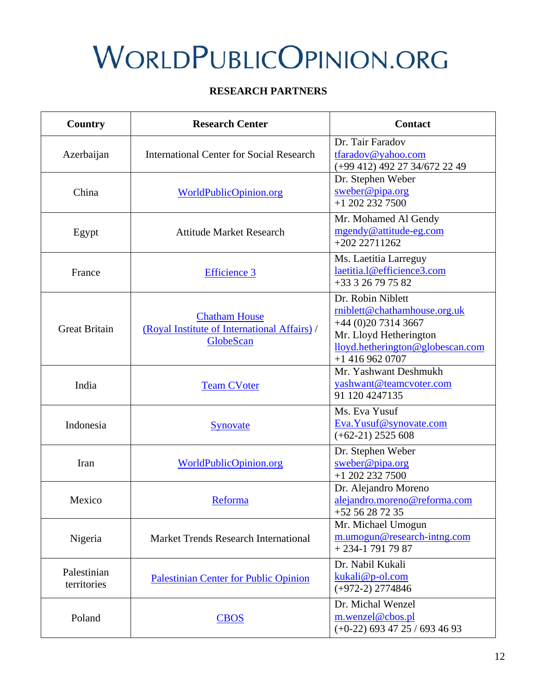# **WORLDPUBLICOPINION.ORG**

# **RESEARCH PARTNERS**

| <b>Country</b>             | <b>Research Center</b>                                                            | <b>Contact</b>                                                                                                                                             |  |
|----------------------------|-----------------------------------------------------------------------------------|------------------------------------------------------------------------------------------------------------------------------------------------------------|--|
| Azerbaijan                 | <b>International Center for Social Research</b>                                   | Dr. Tair Faradov<br>tfaradov@yahoo.com<br>(+99 412) 492 27 34/672 22 49                                                                                    |  |
| China                      | WorldPublicOpinion.org                                                            | Dr. Stephen Weber<br>sweber@pipa.org<br>$+1$ 202 232 7500                                                                                                  |  |
| Egypt                      | <b>Attitude Market Research</b>                                                   | Mr. Mohamed Al Gendy<br>mgendy@attitude-eg.com<br>$+20222711262$                                                                                           |  |
| France                     | <b>Efficience 3</b>                                                               | Ms. Laetitia Larreguy<br>laetitia.l@efficience3.com<br>+33 3 26 79 75 82                                                                                   |  |
| <b>Great Britain</b>       | <b>Chatham House</b><br>(Royal Institute of International Affairs) /<br>GlobeScan | Dr. Robin Niblett<br>rniblett@chathamhouse.org.uk<br>$+44(0)2073143667$<br>Mr. Lloyd Hetherington<br>lloyd.hetherington@globescan.com<br>$+1$ 416 962 0707 |  |
| India                      | <b>Team CVoter</b>                                                                | Mr. Yashwant Deshmukh<br>yashwant@teamcvoter.com<br>91 120 4247135                                                                                         |  |
| Indonesia                  | Synovate                                                                          | Ms. Eva Yusuf<br>Eva. Yusuf@synovate.com<br>$(+62-21)$ 2525 608                                                                                            |  |
| Iran                       | <b>WorldPublicOpinion.org</b>                                                     | Dr. Stephen Weber<br>sweber@pipa.org<br>$+1$ 202 232 7500                                                                                                  |  |
| Mexico                     | Reforma                                                                           | Dr. Alejandro Moreno<br>alejandro.moreno@reforma.com<br>$+5256287235$                                                                                      |  |
| Nigeria                    | Market Trends Research International                                              | Mr. Michael Umogun<br>m.umogun@research-intng.com<br>$+234-17917987$                                                                                       |  |
| Palestinian<br>territories | <b>Palestinian Center for Public Opinion</b>                                      | Dr. Nabil Kukali<br>kukali@p-ol.com<br>$(+972-2)$ 2774846                                                                                                  |  |
| Poland<br><b>CBOS</b>      |                                                                                   | Dr. Michal Wenzel<br>m.wenzel@cbos.pl<br>$(+0-22)$ 693 47 25 / 693 46 93                                                                                   |  |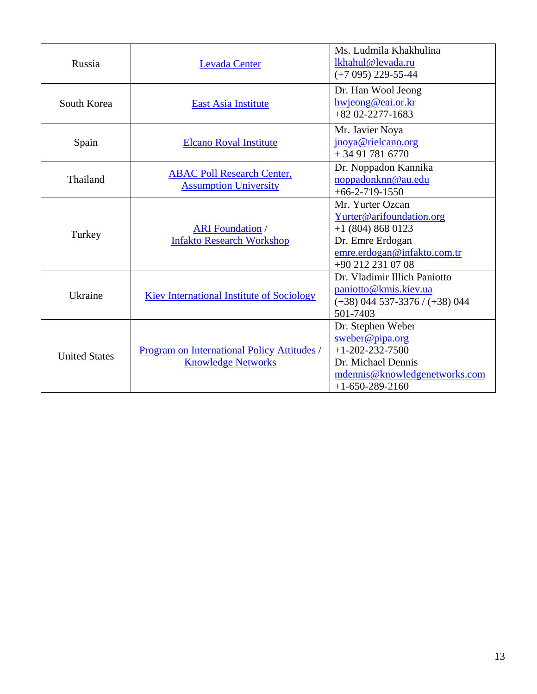| Russia               | <b>Levada Center</b>                                                     | Ms. Ludmila Khakhulina<br>lkhahul@levada.ru<br>$(+7095)$ 229-55-44                                                                             |
|----------------------|--------------------------------------------------------------------------|------------------------------------------------------------------------------------------------------------------------------------------------|
| South Korea          | <b>East Asia Institute</b>                                               | Dr. Han Wool Jeong<br>hwjeong@eai.or.kr<br>$+82$ 02-2277-1683                                                                                  |
| Spain                | <b>Elcano Royal Institute</b>                                            | Mr. Javier Noya<br>jnoya@rielcano.org<br>$+34917816770$                                                                                        |
| Thailand             | <b>ABAC Poll Research Center,</b><br><b>Assumption University</b>        | Dr. Noppadon Kannika<br>noppadonknn@au.edu<br>$+66-2-719-1550$                                                                                 |
| Turkey               | <b>ARI</b> Foundation /<br><b>Infakto Research Workshop</b>              | Mr. Yurter Ozcan<br>Yurter@arifoundation.org<br>$+1$ (804) 868 0123<br>Dr. Emre Erdogan<br>emre.erdogan@infakto.com.tr<br>+90 212 231 07 08    |
| Ukraine              | <b>Kiev International Institute of Sociology</b>                         | Dr. Vladimir Illich Paniotto<br>paniotto@kmis.kiev.ua<br>$(+38)$ 044 537-3376 / $(+38)$ 044<br>501-7403                                        |
| <b>United States</b> | Program on International Policy Attitudes /<br><b>Knowledge Networks</b> | Dr. Stephen Weber<br>$s$ weber@pipa.org<br>$+1 - 202 - 232 - 7500$<br>Dr. Michael Dennis<br>mdennis@knowledgenetworks.com<br>$+1-650-289-2160$ |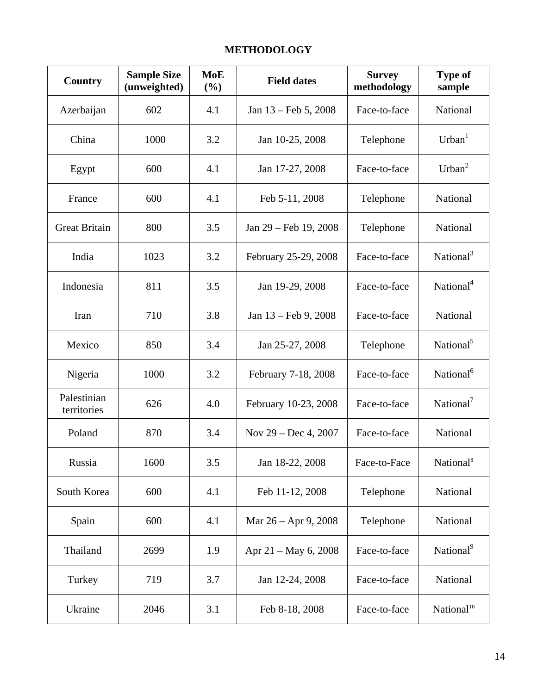# **METHODOLOGY**

| Country                    | <b>Sample Size</b><br>(unweighted) | <b>MoE</b><br>(%) | <b>Field dates</b>     | <b>Survey</b><br>methodology | <b>Type of</b><br>sample |
|----------------------------|------------------------------------|-------------------|------------------------|------------------------------|--------------------------|
| Azerbaijan                 | 602                                | 4.1               | Jan 13 – Feb 5, 2008   | Face-to-face                 | National                 |
| China                      | 1000                               | 3.2               | Jan 10-25, 2008        | Telephone                    | Urban <sup>1</sup>       |
| Egypt                      | 600                                | 4.1               | Jan 17-27, 2008        | Face-to-face                 | Urban <sup>2</sup>       |
| France                     | 600                                | 4.1               | Feb 5-11, 2008         | Telephone                    | National                 |
| <b>Great Britain</b>       | 800                                | 3.5               | Jan 29 – Feb 19, 2008  | Telephone                    | National                 |
| India                      | 1023                               | 3.2               | February 25-29, 2008   | Face-to-face                 | National <sup>3</sup>    |
| Indonesia                  | 811                                | 3.5               | Jan 19-29, 2008        | Face-to-face                 | National <sup>4</sup>    |
| Iran                       | 710                                | 3.8               | Jan 13 – Feb 9, 2008   | Face-to-face                 | National                 |
| Mexico                     | 850                                | 3.4               | Jan 25-27, 2008        | Telephone                    | National <sup>5</sup>    |
| Nigeria                    | 1000                               | 3.2               | February 7-18, 2008    | Face-to-face                 | National <sup>6</sup>    |
| Palestinian<br>territories | 626                                | 4.0               | February 10-23, 2008   | Face-to-face                 | National <sup>7</sup>    |
| Poland                     | 870                                | 3.4               | Nov $29 - Dec 4, 2007$ | Face-to-face                 | National                 |
| Russia                     | 1600                               | 3.5               | Jan 18-22, 2008        | Face-to-Face                 | National <sup>8</sup>    |
| South Korea                | 600                                | 4.1               | Feb 11-12, 2008        | Telephone                    | National                 |
| Spain                      | 600                                | 4.1               | Mar 26 – Apr 9, 2008   | Telephone                    | National                 |
| Thailand                   | 2699                               | 1.9               | Apr 21 – May 6, 2008   | Face-to-face                 | National <sup>9</sup>    |
| Turkey                     | 719                                | 3.7               | Jan 12-24, 2008        | Face-to-face                 | National                 |
| Ukraine                    | 2046                               | 3.1               | Feb 8-18, 2008         | Face-to-face                 | National <sup>10</sup>   |